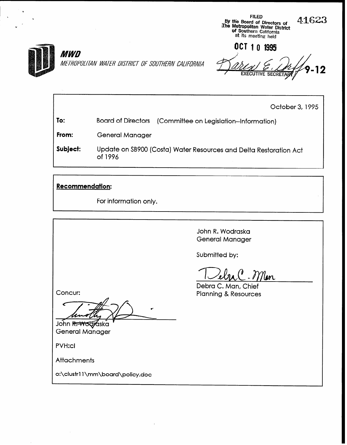

OCT 10 1995 **EXECUTIVE SECRETAR** 

FILED by the Board of Directors of<br>The Metropolitan Water District

> of Southern Californi at its meeting held

> > October 3, 1995

41623

To: Board of Directors (Committee on Legislation--Information)

From: General Manager

Subject: Update on SB900 (Costa) Water Resources and Delta Restoration Act of 1996

### Recommendation:

For information only.

John R. Wodraska General Manager

Submitted by:

Men

Debra C. Man, Chief Planning & Resources

Concur:

John Revocioska General Manager

PVH:cl

**Attachments** 

o:\clustrl 1 \mm\board\policy.doc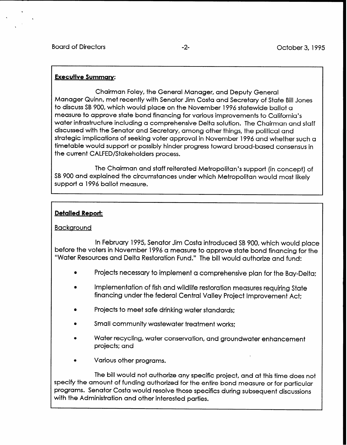### Executive Summary:

Chairman Foley, the General Manager, and Deputy General Manager Quinn, met recently with Senator Jim Costa and Secretary of State Bill Jones to discuss SB 900, which would place on the November 1996 statewide ballot a measure to approve state bond financing for various improvements to California's water infrastructure including a comprehensive Delta solution. The Chairman and staff discussed with the Senator and Secretary, among other things, the political and strategic implications of seeking voter approval in November 1996 and whether such a timetable would support or possibly hinder progress toward broad-based consensus in the current CALFED/Stakeholders process.

The Chairman and staff reiterated Metropolitan's support (in concept) of SB 900 and explained the circumstances under which Metropolitan would most likely support a 1996 ballot measure.

### Detailed Report:

### Backaround

In February 1995, Senator Jim Costa introduced SB 900, which would place before the voters in November 1996 a measure to approve state bond financing for the "Water Resources and Delta Restoration Fund." The bill would authorize and fund:

- $\bullet$ Projects necessary to implement a comprehensive plan for the Bay-Delta;
- 0 Implementation of fish and wildlife restoration measures requiring State financing under the federal Central Valley Project Improvement Act;
- Projects to meet safe drinking water standards:
- Small community wastewater treatment works:
- Water recycling, water conservation, and groundwater enhancement projects: and
- Various other programs.

The bill would not authorize any specific project, and at this time does not specify the amount of funding authorized for the entire bond measure or for particular programs. Senator Costa would resolve those specifics during subsequent discussions with the Administration and other interested parties.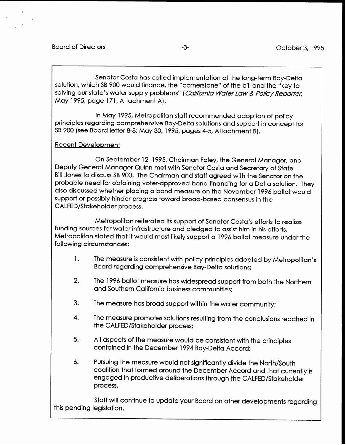Senator Costa has called implementation of the long-term Bay-Delta solution, which SB 900 would finance, the "cornerstone" of the bill and the "key to solving our state's water supply problems" (California Water Law & Policy Reporter, May 1995, page 171, Attachment A).

In May 1995, Metropolitan staff recommended adoption of policy principles regarding comprehensive Bay-Delta solutions and support in concept for SB 900 (see Board letter 8-8: May 30, 1995, pages 4-5, Attachment B).

### Recent Development

On September 12, 1995, Chairman Foley, the General Manager, and Deputy General Manager Quinn met with Senator Costa and Secretary of State Bill Jones to discuss SB 900. The Chairman and staff agreed with the Senator on the probable need for obtaining voter-approved bond financing for a Delta solution. They also discussed whether placing a bond measure on the November 1996 ballot would support or possibly hinder progress toward broad-based consensus in the CALFED/Stakeholder process.

Metropolitan reiterated its support of Senator Costa's efforts to realize funding sources for water infrastructure and pledged to assist him in his efforts. Metropolitan stated that it would most likely support a 1996 ballot measure under the following circumstances:

- 1. The measure is consistent with policy principles adopted by Metropolitan's Board regarding comprehensive Bay-Delta solutions:
- 2. The 1996 ballot measure has widespread support from both the Northern and Southern California business communities:
- 3. The measure has broad support within the water community;
- 4. The measure promotes solutions resulting from the conclusions reached in the CALFED/Stakeholder process;
- 5. All aspects of the measure would be consistent with the principles contained in the December 1994 Bay-Delta Accord:
- 6. Pursuing the measure would not significantly divide the North/South coalition that formed around the December Accord and that currently is engaged in productive deliberations through the CALFED/Stakeholder process.

Staff will continue to update your Board on other developments regarding this pending legislation.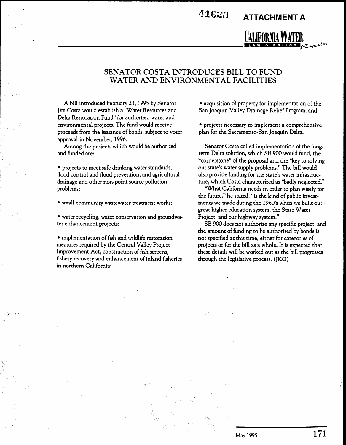. 411623 ATTACHMENT A



, I~W.FORNIAWA~~~ -a -~~~'

A bill introduced February 23, 1995 by Senator Jim Costa would establish a "Water Resources and Delta Restoration Fund" for authorized water and environmental projects. The fund would receive proceeds from the issuance of bonds, subject to voter approval in November, 1996.

A

Among the projects which would be authorized and funded are:

• projects to meet safe drinking water standards, flood control and flood prevention, and agricultural drainage and other non-point source pollution problems;

• small community wastewater treatment works;

• water recycling, water conservation and groundwater enhancement projects;

 $\mathbf{r}$  is the figure restoration of  $\mathbf{r}$ measurem and whene restoration Incastries required by the Central Valley Floject fishery recovery reconstruction of introduction, fishery recovery and enhancement of inland fisheries<br>in northern California;

• acquisition of property for implementation of the San Joaquin Valley Drainage Relief Program; and

• projects necessary to implement a comprehensive plan for the Sacramento-San Joaquin Delta.

Senator Costa called implementation of the longterm Delta solution, which SB 900 would fund, the "cornerstone" of the proposal and the "key to solving our state's water supply problems." The bill would also provide funding for the state's water infrastructure, which Costa characterized as "badly neglected."

"What California needs in order to plan wisely for the future," he stated, "is the kind of public investments we made during the 1960's when we built our great higher education system, the State Water Project, and our highway system."

SB 900 does not authorize any specific project, and the amount of funding to be authorized by bonds is not specified at this time, either for categories of projects or for the bill as a whole. It is expected that projects of for the bill as a whole, it is expected that these details will be worked out as the  $\frac{1}{2}$ 

. The second constraint is a second constraint of the second constraint  $\mathcal{L}_\text{c}$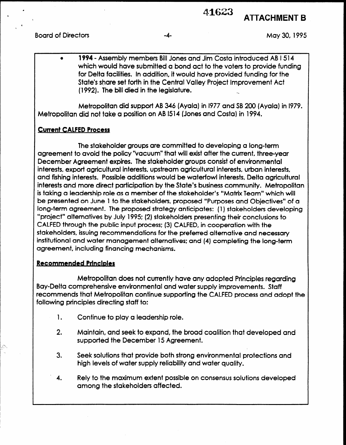# 41623 ATTACHMENT B

Board of Directors **Example 20, 1995** and the set of the set of the set of the set of the set of the set of the set of the set of the set of the set of the set of the set of the set of the set of the set of the set of the

a 1994 - Assembly members Bill Jones and Jim Costa introduced AB I 514 which would have submitted a bond act to the voters to provide funding for Delta facilities. in addition, it would have provided funding for the State's share set forth in the Central Valley Project Improvement Act (1992). The bill died in the legislature.

Metropolitan did support AB 346 (Ayaia) in 1977 and SB 200 (Ayaia) in 1979. Metropolitan did not take a position on AB 1514 (Jones and Costa) in 1994.

### Current CALFED Process

The stakeholder groups are committed to developing a long-term agreement to avoid the policy "vacuum" that will exist after the current, three-year December Agreement expires. The stakeholder groups consist of environmental interests, export agricultural interests, upstream agricultural interests, urban interests, and fishing interests. Possible additions would be waterfowl interests, Delta agricultural interests and more direct participation by the State's business community. Metropolitan is taking a leadership role as a member of the stakeholder's "Matrix Team" which will be presented on June 1 to the stakeholders, proposed "Purposes and Objectives" of a long-term agreement. The proposed strategy anticipates: (1) stakeholders developing "project" alternatives by July 1995: (2) stakeholders presenting their conclusions to CALFED through the public input process: (3) CALFED, in cooperation with the stakeholders, issuing recommendations for the preferred alternative and necessary institutional and water management alternatives; and (4) completing the long-term agreement, including financing mechanisms.

### Recommended Principles

Metropolitan does not currently have any adopted Principles regarding Bay-Delta comprehensive environmental and water supply improvements. Staff recommends that Metropolitan continue supporting the CALFED process and adopt the following principles directing staff to:

- 1. Continue to play a leadership role.
- 2. Maintain, and seek to expand, the broad coalition that developed and wommun, and seek to expand, the Droc
- 3. Seek solutions that provide both strong environmental protections and heek supplied in the blow at both sileng employment of
- $4.4\times10^{-10}$  to the maximum extent possible on consensus solutions developed possible on consensus solutions developed by **Rely to the maximum extent pos**